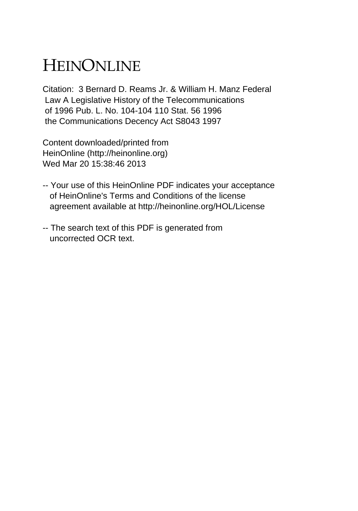# HEINONLINE

Citation: 3 Bernard D. Reams Jr. & William H. Manz Federal Law A Legislative History of the Telecommunications of 1996 Pub. L. No. 104-104 110 Stat. 56 1996 the Communications Decency Act S8043 1997

Content downloaded/printed from HeinOnline (http://heinonline.org) Wed Mar 20 15:38:46 2013

- -- Your use of this HeinOnline PDF indicates your acceptance of HeinOnline's Terms and Conditions of the license agreement available at http://heinonline.org/HOL/License
- -- The search text of this PDF is generated from uncorrected OCR text.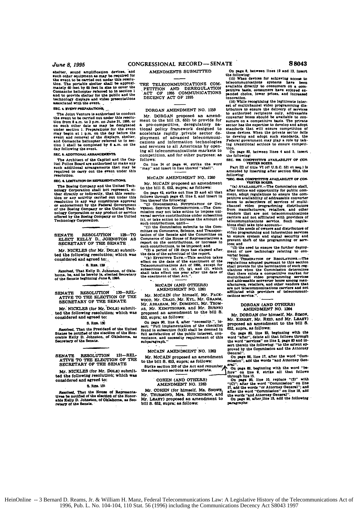shelter, sound anplificatlon **devices.** and such other equipment as may be required for<br>the event to be carried out nuder this resolu-<br>tion. The portable abelice ahall be approxi-<br>mately 60 feet by 65 feet in size to cover the Comanche helicopter referred to **to** sectIon **1 and** to provide **shelter** for the vublic **and** the technology **displays and** vidno presentations asoclated **with** the event.

## **SEC 4 WVENT PRIPARATIONIL**

The Joint Venture is authorized to conduct<br>the event to be carried out under this resolution<br>tion from 8 a.m. to 3 p.m. on June 21, 1983, or<br>on such other date as may be designated<br>under section 1. Preparations for the ev

## **SEC. & ADDITIONAL ARRANGEMENTS.**

**The** Architect **of** the Capitol **and** the **Cap-**Itol Police Board am authorized to make **any such additional** arrangemente that **may** be required to carry **out** the event under this **resolution.**

## **SRC. & LIMITATION ON BEPRESENTATIONS**

The Bosing Company and the United Technology Corporation shall not represent, either directly or indirectly, that this resolution or any activity carried out under this resolution in any way constitutes approval or endomin **of** the **Boeing** Company or the United Tech-nology Corporation or **any** product or service offered **by** the **Boeing Company** or the United Technology Corporation.

**SENATE RESOLUTION** 129-TO **ELECT** KELLY **D., JOHNSTON AS** SECRETARY **OF** THE **SENATE**

Mr. **NICKLES** (for Mr. DOLS) submit.

ted the following resolution: which was considered and agreed to:. **S.** RICO. 120

Resolved, That Kelly D. Johnston, of Okla-<br>homa, be, and he hereby ia, elected Secretary<br>of the Senate beginning June 8, 1995.

**SENATE RESOLUTION** 130-REI-ATIVE TO **THE ELECTION** OF THE SECRETARY **OF THE SENATE**

**Mr." NICKLES** (for Mr.-DOLE) submitted the following resolution: which was considered and agreed to:

## **S. S. 1**

Resolved, That the President of the United<br>States be notified of the election of the Hon-<br>orable Kelly D. Johnston, of Oklahoma, as<br>Secretary of the Senate.

# **SENATE** RESOL **UTION** 131-REL-**ATIVE** TO **THE ELECTION OF** THE SECRETARY **OF** THE **SENATE**

Mr. NICKLES (for Mr. DOLE) submit**ted** the following resolution: which was considered and **agreed to:**

## **S.** RES. **M3**

Resolved, That the House of Representa-<br>tives be notified of the election of the Honor-<br>able Kelly D. Johnston, of Oklahoma, as Beo-<br>retary of the Senate.

HE TELECUMMUNICATION available of ACT TON AND DEREGULATION pattles between ACT OF 1995 **and the CENT of 1995 importion** 

tional policy framework designed to standards that will ensure competition of accelerate rapidly private sector de- these devices. When the private sector fails ployment of advances of accelerate rapidly private sector de-<br>ployment of advanced telecommuni-<br>cations and information technologies cations and information technologies federal government may play a role by tak-<br>
integration of the annual context of answer compatiand services to all Americans by open-<br>ing all telecommunications markets to competition, and for other purposes; as **follows: SEC. 208. COMPETITIVE AVAILABILITY OF CON-**

On line 24 of **page 44**, strike the word may" and insert in lieu thereof "shall".

Mr. McCAIN proposed an amendment **vERTER BOXES.**<br>the bill S. 552 minuties follows: "(a) AVAILABILITY.-The Commission shall.

"(1) USWARESEMAL NOTIFICATION OF OTHER communications are the set of the set of the set of the set of the set of the set of the set of the set of the set of the set of the set of the set of the set of the set of the set o

(a) EFFECTIVE DATE.—This section takes  $\frac{100 \text{ T}}{100 \text{ T}}$  TEMINATION OF REGULATIONS.—The section takes  $\frac{100 \text{ T}}{100 \text{ T}}$  TEMINATION of the teachers of the except for the inguistions adopted pursuant to this secti

WOOD, Mr. CRAIO, Mr. KYL. Mr. GRAMM.<br> **Mr. ABRAHAM, Mr. DOMENICI. Mr. THOM- DORGAN (AND OTHERS)** AS, Mr. **KEMPTHORNE, and Mr.** BURNS) **AMENDMENT NO. 1264**<br>proposed an amendment to the bill **S. Mr. DORGAN (for himself.** *Mr. SIMON* 

on page 90, line 6, after "necessity.", in-<br>
Mr. KERRET: "Foll implementation of the checklist proposed an amendment to the bill S.<br>
found in subsection (b)(3) shall be desmed in 652, supra, as follows:

MCCAIN AMENDMENT NO. 1262 proved by the Commission and the Attorney<br>Mr. McCAIN proposed an amendment on page 88, line 17, after the word "Com-<br>to the bill S. 652, supra; as follows: mission", add the words "and Attorney Ge

to the bill S. 652, supra; as follows:<br>Strike section 310 of the Act and renum

Mr. THURMOND, Mrs. HUTCHINSON, and the word "Commission" on line 19, add the following Mr. LEAHY) proposed an amendment to On page 80, after line 13, add the following **bill B. SS2.** supra: as follows: paragraphs: paragraphs: paragraphs:

AMENDMENTS SUBMITTED to page 8, between fines 12 and 13, insert<br>
the following:<br>
THE TELECOMMUNICATIONS COM-<br>
(15) When devices for achieving access to<br>
THE TELECOMMUNICATIONS COM-<br>
NETTION AND DERECULATION available direc

**(1) While** recognizing the legitimate inter. est of multichancel video programming di-<br>
Mr. DORGAN AMENDMENT NO. 1259 tributors to essure the delivery of services<br>
Mr. DORGAN proposed an amend-<br>
to authorized recipients only, addressable<br>
Mr. to the bill (S. 652) to

ing **between lines 4 and 5, insert**.<br> **Con Page 82. between lines 4 and 5, insert**.<br>
the following:

"may" and insert in lieu thereof "shall". Part **III** of title VI *(47 U.S.C. 521 et seq.)* is<br>amended by **inserting after section 624A** the McCAIN AMENDMENT NO, 1260 *COLORING*<br> **MCCAIN AMENDMENT NO, 1260 • SEC. SAR CONPETITY AVALABILITY OF CON-**<br> **CERTER BOXES** 

to the bill S. 652, supra; as follows: **"(a)** AVAILAELITT.-The Commission shall.<br>On page 42, strike out line 23 and all that after notice and opportunity for public commission is the commission follows:<br>How through page 43 For our one of the solution of the file notice and opportunity for public com-<br>one our one of the S3 and all that the result to apple the one com-<br>like the following:<br>it is not interest the order of the following:<br>it is pe

such contributions, to be imposed; and<br>"(2) a period of 120 days has elapsed after, ment of new technology relating to con-<br>the date of the submittal of the report.

ansi this effect one year after the uses of that there exists a competitive market for<br>the enactment of that Act.". multichannel wideo programming services MENDMENT NO. 1261<br>MCCAIN (AND OTHERS) and addressable converter boxes among man-<br>MCCAIN (AND OTHERS) and their stallars, and other vendors that<br>AMENDMENT NO. 1261<br>AMENDMENT NO. 1261<br>Mr. MCCAIN (for himself, Mr. PACK-<br>catio

proposed an amendment to the Dill S.<br>652. supra; as follows: *Mr. M. BERRET. Mr. REID. and Mr. LEABT* 

found in subsection (e), state of the public interest, con-<br>
The pape 82, line 23, beginning with the<br>
realesce, and necessity requirement of this word "after", delete all that follows through<br>
subparagraph."<br>
services" on

Burike section 310 of the Act and renumber  $\bigwedge_{j \text{ of } j}$  on page 89, beginning with the word "be-<br>the subsequent sections as appropriate.  $\bigwedge_{j \text{ of } j}$  fore" on line 9, strike all that follows

COHEN (AND OTHERS) COMER (AND OTHERS) COMERCY (5) COMERCY (6) COMERCY (6) THE READ ON THE READ ON THE READ ON THE READ ON THE READ ON THE READ ON THE READ ON THE READ ON THE READ ON THE READ ON THE READ ON THE READ ON THE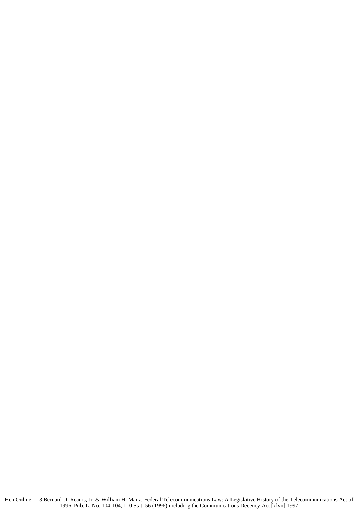HeinOnline -- 3 Bernard D. Reams, Jr. & William H. Manz, Federal Telecommunications Law: A Legislative History of the Telecommunications Act of 1996, Pub. L. No. 104-104, 110 Stat. 56 (1996) including the Communications Decency Act [xlvii] 1997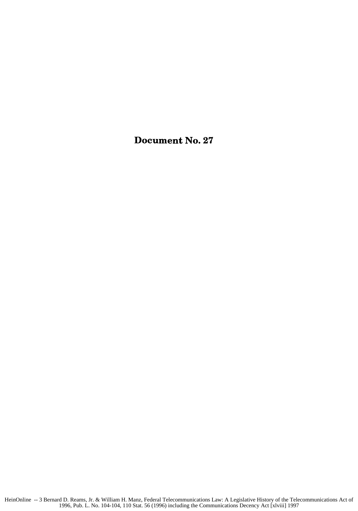Document No. **27**